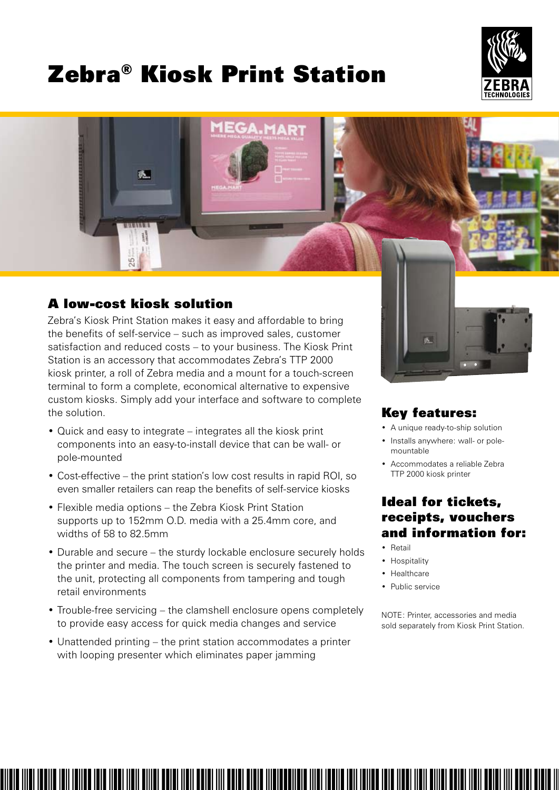# Zebra® Kiosk Print Station





# A low-cost kiosk solution

Zebra's Kiosk Print Station makes it easy and affordable to bring the benefits of self-service – such as improved sales, customer satisfaction and reduced costs – to your business. The Kiosk Print Station is an accessory that accommodates Zebra's TTP 2000 kiosk printer, a roll of Zebra media and a mount for a touch-screen terminal to form a complete, economical alternative to expensive custom kiosks. Simply add your interface and software to complete the solution.

- Quick and easy to integrate integrates all the kiosk print components into an easy-to-install device that can be wall- or pole-mounted
- Cost-effective the print station's low cost results in rapid ROI, so even smaller retailers can reap the benefits of self-service kiosks
- Flexible media options the Zebra Kiosk Print Station supports up to 152mm O.D. media with a 25.4mm core, and widths of 58 to 82.5mm
- Durable and secure the sturdy lockable enclosure securely holds the printer and media. The touch screen is securely fastened to the unit, protecting all components from tampering and tough retail environments
- Trouble-free servicing the clamshell enclosure opens completely to provide easy access for quick media changes and service

• Unattended printing – the print station accommodates a printer with looping presenter which eliminates paper jamming



# Key features:

- A unique ready-to-ship solution
- Installs anywhere: wall- or polemountable
- Accommodates a reliable Zebra TTP 2000 kiosk printer

# Ideal for tickets, receipts, vouchers and information for:

- • Retail
- Hospitality
- Healthcare
- Public service

NOTE: Printer, accessories and media sold separately from Kiosk Print Station.